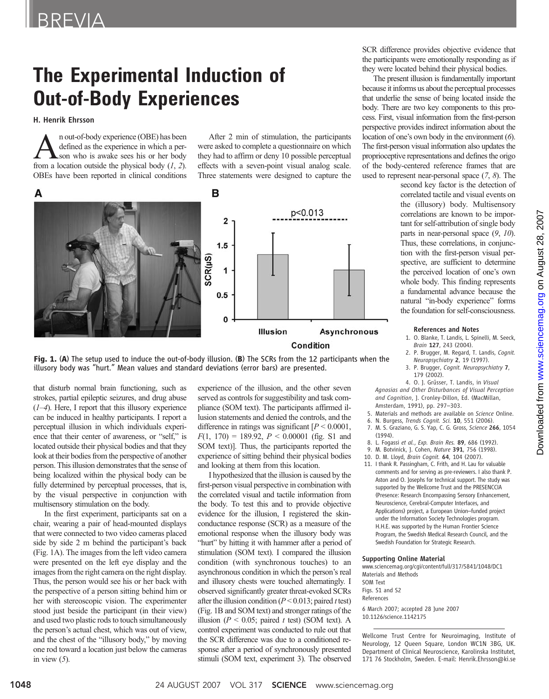# The Experimental Induction of Out-of-Body Experiences

H. Henrik Ehrsson

 $\sum_{\text{off-odd}}$  n out-of-body experience (OBE) has been<br>defined as the experience in which a per-<br>son who is awake sees his or her body<br>from a location outside the physical body (1, 2) defined as the experience in which a perfrom a location outside the physical body  $(1, 2)$ . OBEs have been reported in clinical conditions

After 2 min of stimulation, the participants were asked to complete a questionnaire on which they had to affirm or deny 10 possible perceptual effects with a seven-point visual analog scale. Three statements were designed to capture the



#### **Condition**

Fig. 1. (A) The setup used to induce the out-of-body illusion. (B) The SCRs from the 12 participants when the illusory body was "hurt." Mean values and standard deviations (error bars) are presented.

that disturb normal brain functioning, such as strokes, partial epileptic seizures, and drug abuse  $(1-4)$ . Here, I report that this illusory experience can be induced in healthy participants. I report a perceptual illusion in which individuals experience that their center of awareness, or "self," is located outside their physical bodies and that they look at their bodies from the perspective of another person. This illusion demonstrates that the sense of being localized within the physical body can be fully determined by perceptual processes, that is, by the visual perspective in conjunction with multisensory stimulation on the body.

In the first experiment, participants sat on a chair, wearing a pair of head-mounted displays that were connected to two video cameras placed side by side 2 m behind the participant's back (Fig. 1A). The images from the left video camera were presented on the left eye display and the images from the right camera on the right display. Thus, the person would see his or her back with the perspective of a person sitting behind him or her with stereoscopic vision. The experimenter stood just beside the participant (in their view) and used two plastic rods to touch simultaneously the person's actual chest, which was out of view, and the chest of the "illusory body," by moving one rod toward a location just below the cameras in view  $(5)$ .

experience of the illusion, and the other seven served as controls for suggestibility and task compliance (SOM text). The participants affirmed illusion statements and denied the controls, and the difference in ratings was significant  $[P < 0.0001]$ ,  $F(1, 170) = 189.92, P < 0.00001$  (fig. S1 and SOM text)]. Thus, the participants reported the experience of sitting behind their physical bodies and looking at them from this location.

I hypothesized that the illusion is caused by the first-person visual perspective in combination with the correlated visual and tactile information from the body. To test this and to provide objective evidence for the illusion, I registered the skinconductance response (SCR) as a measure of the emotional response when the illusory body was "hurt" by hitting it with hammer after a period of stimulation (SOM text). I compared the illusion condition (with synchronous touches) to an asynchronous condition in which the person's real and illusory chests were touched alternatingly. I observed significantly greater threat-evoked SCRs after the illusion condition ( $P < 0.013$ ; paired t test) (Fig. 1B and SOM text) and stronger ratings of the illusion ( $P < 0.05$ ; paired t test) (SOM text). A control experiment was conducted to rule out that the SCR difference was due to a conditioned response after a period of synchronously presented stimuli (SOM text, experiment 3). The observed

SCR difference provides objective evidence that the participants were emotionally responding as if they were located behind their physical bodies.

The present illusion is fundamentally important because it informs us about the perceptual processes that underlie the sense of being located inside the body. There are two key components to this process. First, visual information from the first-person perspective provides indirect information about the location of one's own body in the environment (6). The first-person visual information also updates the proprioceptive representations and defines the origo of the body-centered reference frames that are used to represent near-personal space (7, 8). The

> second key factor is the detection of correlated tactile and visual events on the (illusory) body. Multisensory correlations are known to be important for self-attribution of single body parts in near-personal space (9, 10). Thus, these correlations, in conjunction with the first-person visual perspective, are sufficient to determine the perceived location of one's own whole body. This finding represents a fundamental advance because the natural "in-body experience" forms the foundation for self-consciousness.

#### References and Notes

- 1. O. Blanke, T. Landis, L. Spinelli, M. Seeck, Brain 127, 243 (2004).
- 2. P. Brugger, M. Regard, T. Landis, Cognit. Neuropsychiatry 2, 19 (1997).
- 3. P. Brugger, Cognit. Neuropsychiatry 7, 179 (2002).

4. O. J. Grüsser, T. Landis, in Visual Agnosias and Other Disturbances of Visual Perception and Cognition, J. Cronley-Dillon, Ed. (MacMillan, Amsterdam, 1991), pp. 297–303.

- 5. Materials and methods are available on Science Online.
- 6. N. Burgess, Trends Cognit. Sci. 10, 551 (2006).
- 7. M. S. Graziano, G. S. Yap, C. G. Gross, Science 266, 1054 (1994).
- 8. L. Fogassi et al., Exp. Brain Res. 89, 686 (1992).
- 9. M. Botvinick, J. Cohen, Nature 391, 756 (1998).
- 10. D. M. Lloyd, Brain Cognit. 64, 104 (2007).
- 11. I thank R. Passingham, C. Frith, and H. Lau for valuable comments and for serving as pre-reviewers. I also thank P. Aston and O. Josephs for technical support. The study was supported by the Wellcome Trust and the PRESENCCIA (Presence: Research Encompassing Sensory Enhancement, Neuroscience, Cerebral-Computer Interfaces, and Applications) project, a European Union–funded project under the Information Society Technologies program. H.H.E. was supported by the Human Frontier Science Program, the Swedish Medical Research Council, and the Swedish Foundation for Strategic Research.

#### Supporting Online Material

www.sciencemag.org/cgi/content/full/317/5841/1048/DC1 Materials and Methods SOM Text Figs. S1 and S2 References 6 March 2007; accepted 28 June 2007 10.1126/science.1142175

Wellcome Trust Centre for Neuroimaging, Institute of Neurology, 12 Queen Square, London WC1N 3BG, UK. Department of Clinical Neuroscience, Karolinska Institutet, 171 76 Stockholm, Sweden. E-mail: Henrik.Ehrsson@ki.se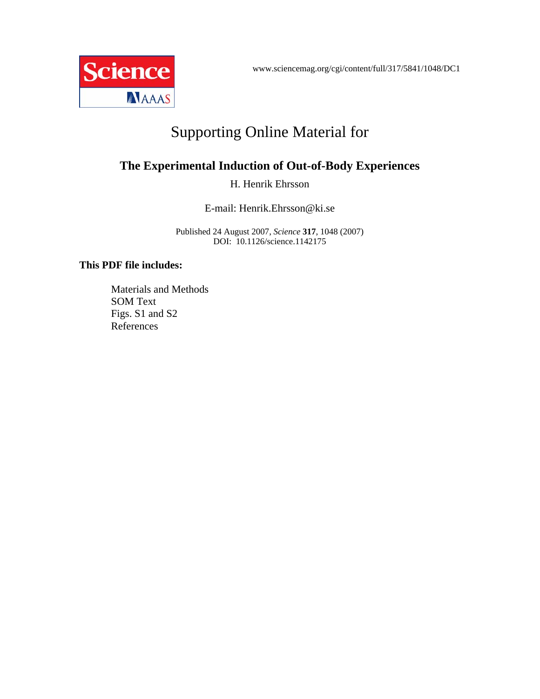www.sciencemag.org/cgi/content/full/317/5841/1048/DC1



# Supporting Online Material for

# **The Experimental Induction of Out-of-Body Experiences**

H. Henrik Ehrsson

E-mail: Henrik.Ehrsson@ki.se

Published 24 August 2007, *Science* **317**, 1048 (2007) DOI: 10.1126/science.1142175

## **This PDF file includes:**

Materials and Methods SOM Text Figs. S1 and S2 References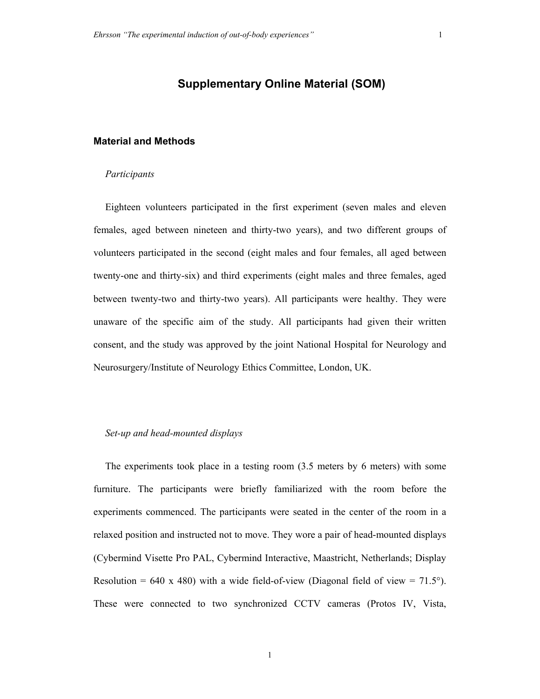## **Supplementary Online Material (SOM)**

#### **Material and Methods**

#### *Participants*

Eighteen volunteers participated in the first experiment (seven males and eleven females, aged between nineteen and thirty-two years), and two different groups of volunteers participated in the second (eight males and four females, all aged between twenty-one and thirty-six) and third experiments (eight males and three females, aged between twenty-two and thirty-two years). All participants were healthy. They were unaware of the specific aim of the study. All participants had given their written consent, and the study was approved by the joint National Hospital for Neurology and Neurosurgery/Institute of Neurology Ethics Committee, London, UK.

### *Set-up and head-mounted displays*

The experiments took place in a testing room (3.5 meters by 6 meters) with some furniture. The participants were briefly familiarized with the room before the experiments commenced. The participants were seated in the center of the room in a relaxed position and instructed not to move. They wore a pair of head-mounted displays (Cybermind Visette Pro PAL, Cybermind Interactive, Maastricht, Netherlands; Display Resolution = 640 x 480) with a wide field-of-view (Diagonal field of view = 71.5°). These were connected to two synchronized CCTV cameras (Protos IV, Vista,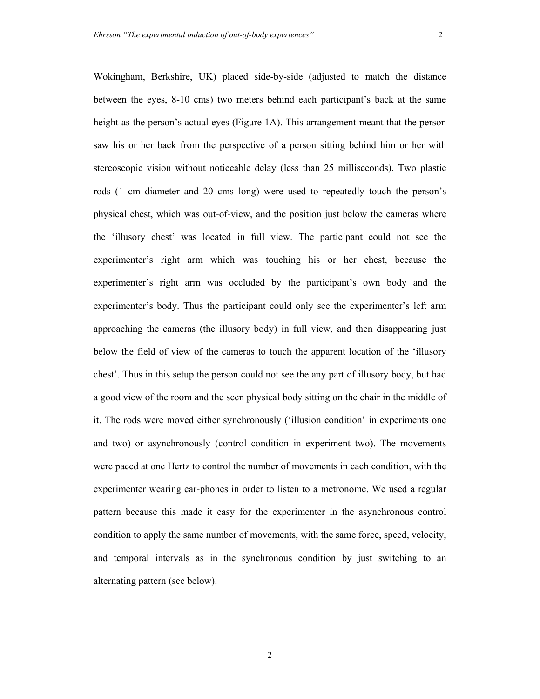Wokingham, Berkshire, UK) placed side-by-side (adjusted to match the distance between the eyes, 8-10 cms) two meters behind each participant's back at the same height as the person's actual eyes (Figure 1A). This arrangement meant that the person saw his or her back from the perspective of a person sitting behind him or her with stereoscopic vision without noticeable delay (less than 25 milliseconds). Two plastic rods (1 cm diameter and 20 cms long) were used to repeatedly touch the person's physical chest, which was out-of-view, and the position just below the cameras where the 'illusory chest' was located in full view. The participant could not see the experimenter's right arm which was touching his or her chest, because the experimenter's right arm was occluded by the participant's own body and the experimenter's body. Thus the participant could only see the experimenter's left arm approaching the cameras (the illusory body) in full view, and then disappearing just below the field of view of the cameras to touch the apparent location of the 'illusory chest'. Thus in this setup the person could not see the any part of illusory body, but had a good view of the room and the seen physical body sitting on the chair in the middle of it. The rods were moved either synchronously ('illusion condition' in experiments one and two) or asynchronously (control condition in experiment two). The movements were paced at one Hertz to control the number of movements in each condition, with the experimenter wearing ear-phones in order to listen to a metronome. We used a regular pattern because this made it easy for the experimenter in the asynchronous control condition to apply the same number of movements, with the same force, speed, velocity, and temporal intervals as in the synchronous condition by just switching to an alternating pattern (see below).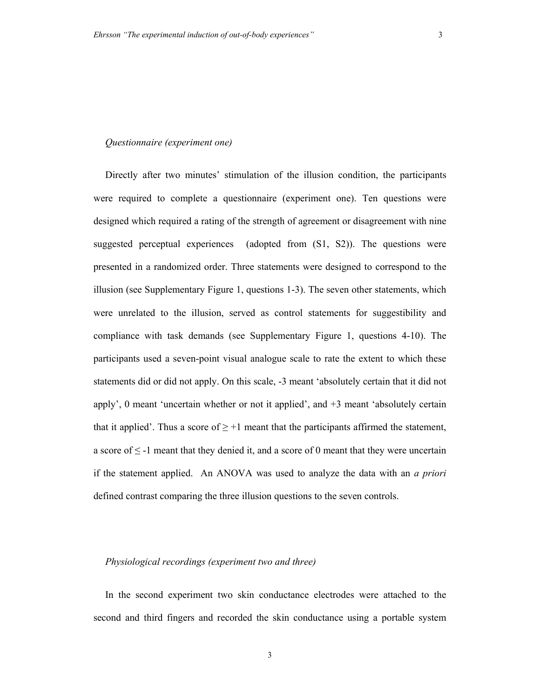#### *Questionnaire (experiment one)*

Directly after two minutes' stimulation of the illusion condition, the participants were required to complete a questionnaire (experiment one). Ten questions were designed which required a rating of the strength of agreement or disagreement with nine suggested perceptual experiences (adopted from (S1, S2)). The questions were presented in a randomized order. Three statements were designed to correspond to the illusion (see Supplementary Figure 1, questions 1-3). The seven other statements, which were unrelated to the illusion, served as control statements for suggestibility and compliance with task demands (see Supplementary Figure 1, questions 4-10). The participants used a seven-point visual analogue scale to rate the extent to which these statements did or did not apply. On this scale, -3 meant 'absolutely certain that it did not apply',  $\theta$  meant 'uncertain whether or not it applied', and  $+3$  meant 'absolutely certain that it applied'. Thus a score of  $\geq$  +1 meant that the participants affirmed the statement, a score of  $\leq$  -1 meant that they denied it, and a score of 0 meant that they were uncertain if the statement applied. An ANOVA was used to analyze the data with an *a priori* defined contrast comparing the three illusion questions to the seven controls.

#### *Physiological recordings (experiment two and three)*

In the second experiment two skin conductance electrodes were attached to the second and third fingers and recorded the skin conductance using a portable system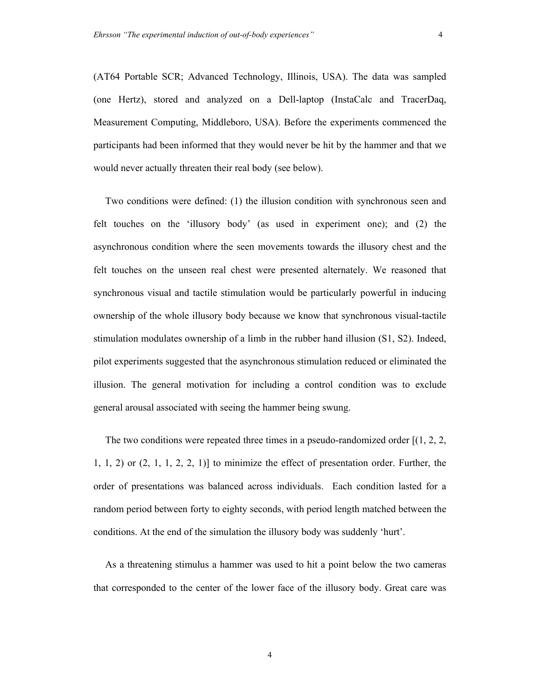(AT64 Portable SCR; Advanced Technology, Illinois, USA). The data was sampled (one Hertz), stored and analyzed on a Dell-laptop (InstaCalc and TracerDaq, Measurement Computing, Middleboro, USA). Before the experiments commenced the participants had been informed that they would never be hit by the hammer and that we would never actually threaten their real body (see below).

Two conditions were defined: (1) the illusion condition with synchronous seen and felt touches on the 'illusory body' (as used in experiment one); and (2) the asynchronous condition where the seen movements towards the illusory chest and the felt touches on the unseen real chest were presented alternately. We reasoned that synchronous visual and tactile stimulation would be particularly powerful in inducing ownership of the whole illusory body because we know that synchronous visual-tactile stimulation modulates ownership of a limb in the rubber hand illusion (S1, S2). Indeed, pilot experiments suggested that the asynchronous stimulation reduced or eliminated the illusion. The general motivation for including a control condition was to exclude general arousal associated with seeing the hammer being swung.

The two conditions were repeated three times in a pseudo-randomized order  $(1, 2, 2, 3)$  $1, 1, 2$  or  $(2, 1, 1, 2, 2, 1)$  to minimize the effect of presentation order. Further, the order of presentations was balanced across individuals. Each condition lasted for a random period between forty to eighty seconds, with period length matched between the conditions. At the end of the simulation the illusory body was suddenly 'hurt'.

As a threatening stimulus a hammer was used to hit a point below the two cameras that corresponded to the center of the lower face of the illusory body. Great care was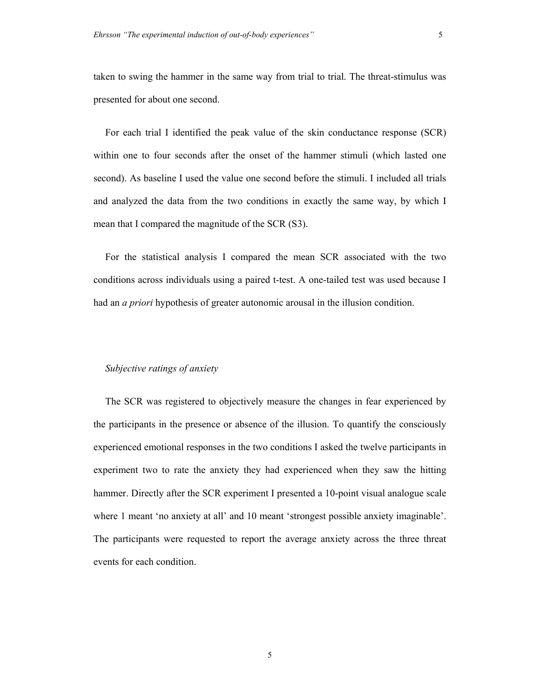taken to swing the hammer in the same way from trial to trial. The threat-stimulus was presented for about one second.

For each trial I identified the peak value of the skin conductance response (SCR) within one to four seconds after the onset of the hammer stimuli (which lasted one second). As baseline I used the value one second before the stimuli. I included all trials and analyzed the data from the two conditions in exactly the same way, by which I mean that I compared the magnitude of the SCR (S3).

For the statistical analysis I compared the mean SCR associated with the two conditions across individuals using a paired t-test. A one-tailed test was used because I had an *a priori* hypothesis of greater autonomic arousal in the illusion condition.

### *Subjective ratings of anxiety*

The SCR was registered to objectively measure the changes in fear experienced by the participants in the presence or absence of the illusion. To quantify the consciously experienced emotional responses in the two conditions I asked the twelve participants in experiment two to rate the anxiety they had experienced when they saw the hitting hammer. Directly after the SCR experiment I presented a 10-point visual analogue scale where 1 meant 'no anxiety at all' and 10 meant 'strongest possible anxiety imaginable'. The participants were requested to report the average anxiety across the three threat events for each condition.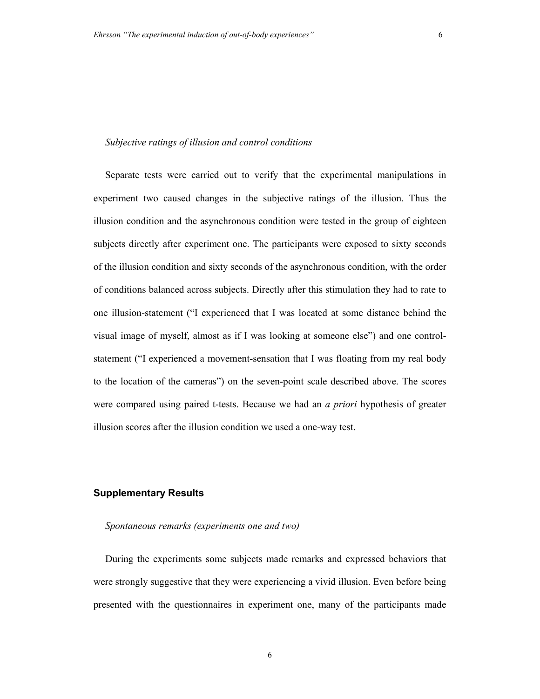#### *Subjective ratings of illusion and control conditions*

Separate tests were carried out to verify that the experimental manipulations in experiment two caused changes in the subjective ratings of the illusion. Thus the illusion condition and the asynchronous condition were tested in the group of eighteen subjects directly after experiment one. The participants were exposed to sixty seconds of the illusion condition and sixty seconds of the asynchronous condition, with the order of conditions balanced across subjects. Directly after this stimulation they had to rate to one illusion-statement ("I experienced that I was located at some distance behind the visual image of myself, almost as if I was looking at someone else") and one controlstatement ("I experienced a movement-sensation that I was floating from my real body to the location of the cameras") on the seven-point scale described above. The scores were compared using paired t-tests. Because we had an *a priori* hypothesis of greater illusion scores after the illusion condition we used a one-way test.

#### **Supplementary Results**

#### *Spontaneous remarks (experiments one and two)*

During the experiments some subjects made remarks and expressed behaviors that were strongly suggestive that they were experiencing a vivid illusion. Even before being presented with the questionnaires in experiment one, many of the participants made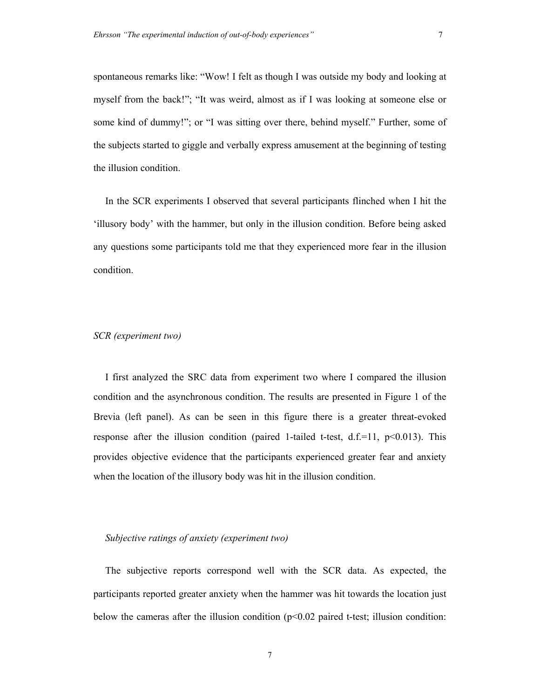spontaneous remarks like: "Wow! I felt as though I was outside my body and looking at myself from the back!"; "It was weird, almost as if I was looking at someone else or some kind of dummy!"; or "I was sitting over there, behind myself." Further, some of the subjects started to giggle and verbally express amusement at the beginning of testing the illusion condition.

In the SCR experiments I observed that several participants flinched when I hit the 'illusory body' with the hammer, but only in the illusion condition. Before being asked any questions some participants told me that they experienced more fear in the illusion condition.

#### *SCR (experiment two)*

I first analyzed the SRC data from experiment two where I compared the illusion condition and the asynchronous condition. The results are presented in Figure 1 of the Brevia (left panel). As can be seen in this figure there is a greater threat-evoked response after the illusion condition (paired 1-tailed t-test,  $d.f.=11$ ,  $p<0.013$ ). This provides objective evidence that the participants experienced greater fear and anxiety when the location of the illusory body was hit in the illusion condition.

#### *Subjective ratings of anxiety (experiment two)*

The subjective reports correspond well with the SCR data. As expected, the participants reported greater anxiety when the hammer was hit towards the location just below the cameras after the illusion condition  $(p<0.02$  paired t-test; illusion condition: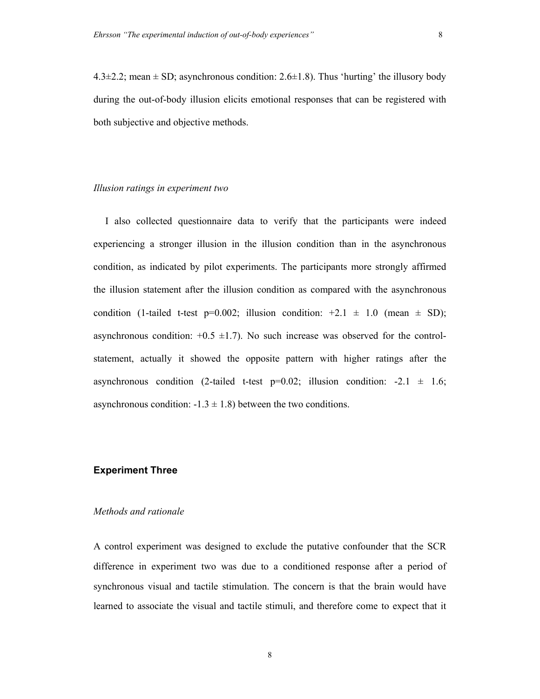$4.3\pm2.2$ ; mean  $\pm$  SD; asynchronous condition: 2.6 $\pm$ 1.8). Thus 'hurting' the illusory body during the out-of-body illusion elicits emotional responses that can be registered with both subjective and objective methods.

#### *Illusion ratings in experiment two*

I also collected questionnaire data to verify that the participants were indeed experiencing a stronger illusion in the illusion condition than in the asynchronous condition, as indicated by pilot experiments. The participants more strongly affirmed the illusion statement after the illusion condition as compared with the asynchronous condition (1-tailed t-test p=0.002; illusion condition:  $+2.1 \pm 1.0$  (mean  $\pm$  SD); asynchronous condition:  $+0.5 \pm 1.7$ ). No such increase was observed for the controlstatement, actually it showed the opposite pattern with higher ratings after the asynchronous condition (2-tailed t-test  $p=0.02$ ; illusion condition: -2.1  $\pm$  1.6; asynchronous condition:  $-1.3 \pm 1.8$ ) between the two conditions.

#### **Experiment Three**

### *Methods and rationale*

A control experiment was designed to exclude the putative confounder that the SCR difference in experiment two was due to a conditioned response after a period of synchronous visual and tactile stimulation. The concern is that the brain would have learned to associate the visual and tactile stimuli, and therefore come to expect that it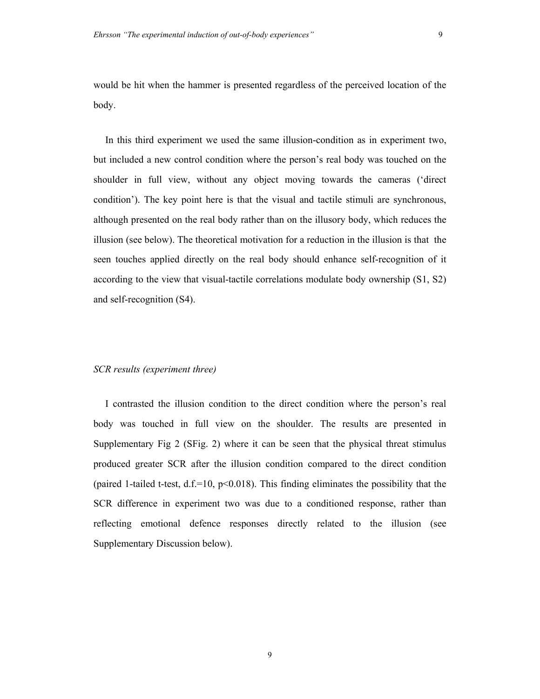would be hit when the hammer is presented regardless of the perceived location of the body.

In this third experiment we used the same illusion-condition as in experiment two, but included a new control condition where the person's real body was touched on the shoulder in full view, without any object moving towards the cameras ('direct condition'). The key point here is that the visual and tactile stimuli are synchronous, although presented on the real body rather than on the illusory body, which reduces the illusion (see below). The theoretical motivation for a reduction in the illusion is that the seen touches applied directly on the real body should enhance self-recognition of it according to the view that visual-tactile correlations modulate body ownership (S1, S2) and self-recognition (S4).

#### *SCR results (experiment three)*

I contrasted the illusion condition to the direct condition where the person's real body was touched in full view on the shoulder. The results are presented in Supplementary Fig 2 (SFig. 2) where it can be seen that the physical threat stimulus produced greater SCR after the illusion condition compared to the direct condition (paired 1-tailed t-test, d.f.=10,  $p$ <0.018). This finding eliminates the possibility that the SCR difference in experiment two was due to a conditioned response, rather than reflecting emotional defence responses directly related to the illusion (see Supplementary Discussion below).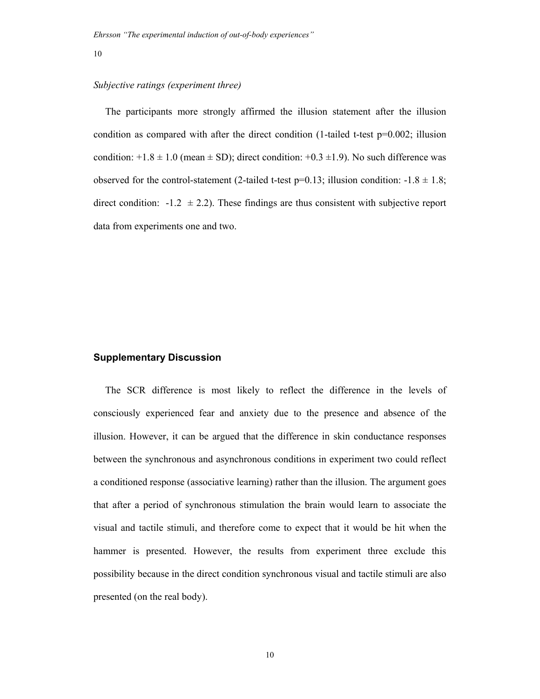#### *Subjective ratings (experiment three)*

The participants more strongly affirmed the illusion statement after the illusion condition as compared with after the direct condition (1-tailed t-test  $p=0.002$ ; illusion condition:  $+1.8 \pm 1.0$  (mean  $\pm$  SD); direct condition:  $+0.3 \pm 1.9$ ). No such difference was observed for the control-statement (2-tailed t-test p=0.13; illusion condition:  $-1.8 \pm 1.8$ ; direct condition:  $-1.2 \pm 2.2$ ). These findings are thus consistent with subjective report data from experiments one and two.

### **Supplementary Discussion**

The SCR difference is most likely to reflect the difference in the levels of consciously experienced fear and anxiety due to the presence and absence of the illusion. However, it can be argued that the difference in skin conductance responses between the synchronous and asynchronous conditions in experiment two could reflect a conditioned response (associative learning) rather than the illusion. The argument goes that after a period of synchronous stimulation the brain would learn to associate the visual and tactile stimuli, and therefore come to expect that it would be hit when the hammer is presented. However, the results from experiment three exclude this possibility because in the direct condition synchronous visual and tactile stimuli are also presented (on the real body).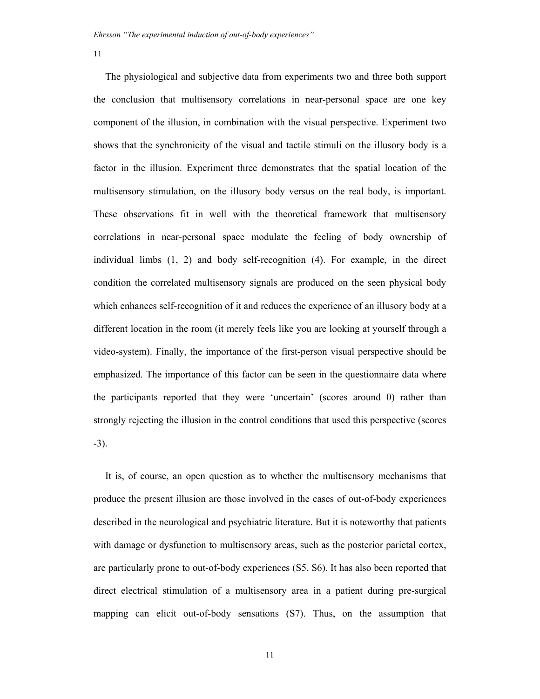The physiological and subjective data from experiments two and three both support the conclusion that multisensory correlations in near-personal space are one key component of the illusion, in combination with the visual perspective. Experiment two shows that the synchronicity of the visual and tactile stimuli on the illusory body is a factor in the illusion. Experiment three demonstrates that the spatial location of the multisensory stimulation, on the illusory body versus on the real body, is important. These observations fit in well with the theoretical framework that multisensory correlations in near-personal space modulate the feeling of body ownership of individual limbs (1, 2) and body self-recognition (4). For example, in the direct condition the correlated multisensory signals are produced on the seen physical body which enhances self-recognition of it and reduces the experience of an illusory body at a different location in the room (it merely feels like you are looking at yourself through a video-system). Finally, the importance of the first-person visual perspective should be emphasized. The importance of this factor can be seen in the questionnaire data where the participants reported that they were 'uncertain' (scores around 0) rather than strongly rejecting the illusion in the control conditions that used this perspective (scores -3).

It is, of course, an open question as to whether the multisensory mechanisms that produce the present illusion are those involved in the cases of out-of-body experiences described in the neurological and psychiatric literature. But it is noteworthy that patients with damage or dysfunction to multisensory areas, such as the posterior parietal cortex, are particularly prone to out-of-body experiences (S5, S6). It has also been reported that direct electrical stimulation of a multisensory area in a patient during pre-surgical mapping can elicit out-of-body sensations (S7). Thus, on the assumption that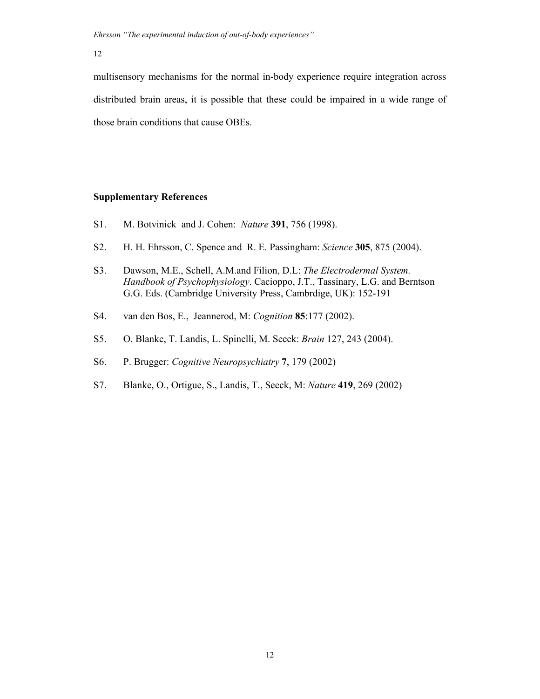*Ehrsson "The experimental induction of out-of-body experiences"*

12

multisensory mechanisms for the normal in-body experience require integration across distributed brain areas, it is possible that these could be impaired in a wide range of those brain conditions that cause OBEs.

### **Supplementary References**

- S1. M. Botvinick and J. Cohen: *Nature* **391**, 756 (1998).
- S2. H. H. Ehrsson, C. Spence and R. E. Passingham: *Science* **305**, 875 (2004).
- S3. Dawson, M.E., Schell, A.M.and Filion, D.L: *The Electrodermal System. Handbook of Psychophysiology*. Cacioppo, J.T., Tassinary, L.G. and Berntson G.G. Eds. (Cambridge University Press, Cambrdige, UK): 152-191
- S4. van den Bos, E., Jeannerod, M: *Cognition* **85**:177 (2002).
- S5. O. Blanke, T. Landis, L. Spinelli, M. Seeck: *Brain* 127, 243 (2004).
- S6. P. Brugger: *Cognitive Neuropsychiatry* **7**, 179 (2002)
- S7. Blanke, O., Ortigue, S., Landis, T., Seeck, M: *Nature* **419**, 269 (2002)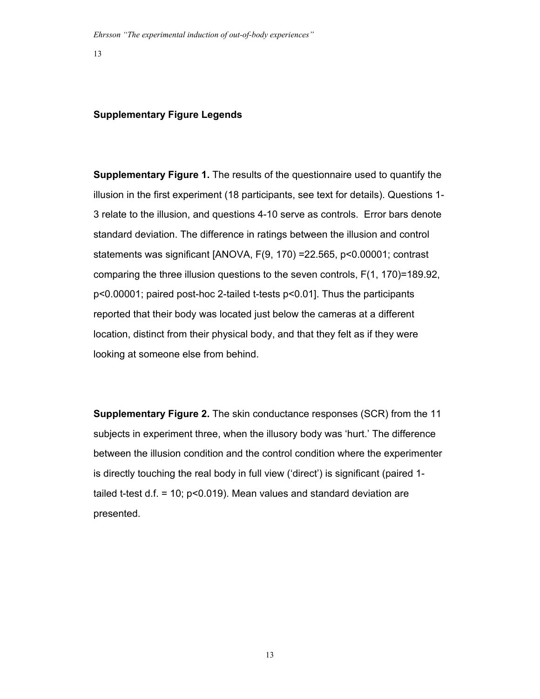#### **Supplementary Figure Legends**

**Supplementary Figure 1.** The results of the questionnaire used to quantify the illusion in the first experiment (18 participants, see text for details). Questions 1- 3 relate to the illusion, and questions 4-10 serve as controls. Error bars denote standard deviation. The difference in ratings between the illusion and control statements was significant [ANOVA, F(9, 170) =22.565, p<0.00001; contrast comparing the three illusion questions to the seven controls, F(1, 170)=189.92, p<0.00001; paired post-hoc 2-tailed t-tests p<0.01]. Thus the participants reported that their body was located just below the cameras at a different location, distinct from their physical body, and that they felt as if they were looking at someone else from behind.

**Supplementary Figure 2.** The skin conductance responses (SCR) from the 11 subjects in experiment three, when the illusory body was 'hurt.' The difference between the illusion condition and the control condition where the experimenter is directly touching the real body in full view ('direct') is significant (paired 1 tailed t-test  $d.f. = 10$ ;  $p < 0.019$ . Mean values and standard deviation are presented.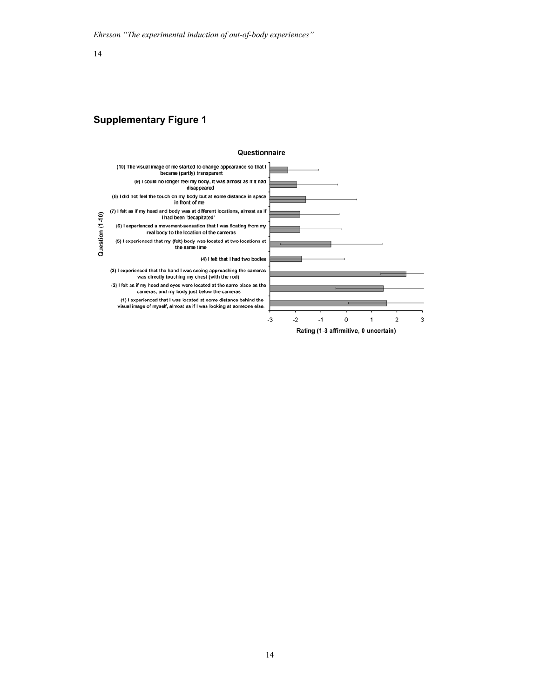## **Supplementary Figure 1**